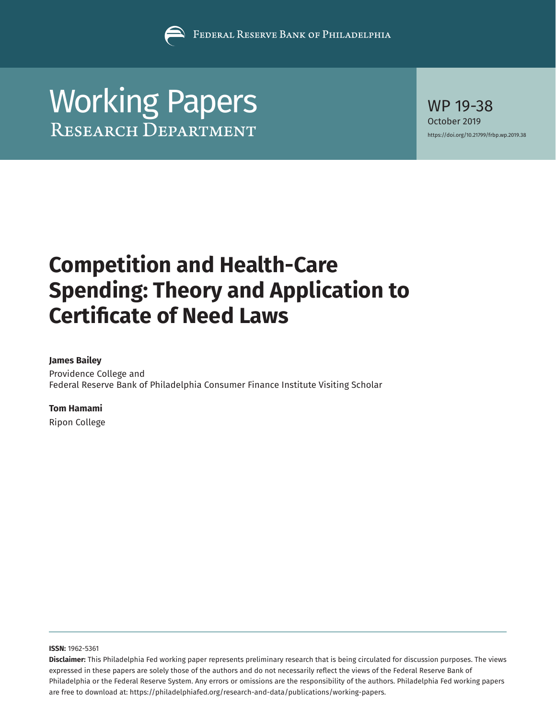

# [Working Papers](https://www.philadelphiafed.org/research-and-data/publications/working-papers) WP 19-38

October 2019 <https://doi.org/10.21799/frbp.wp.2019.38>

# **Competition and Health-Care Spending: Theory and Application to Certificate of Need Laws**

#### **James Bailey**

Providence College and Federal Reserve Bank of Philadelphia Consumer Finance Institute Visiting Scholar

#### **Tom Hamami**

Ripon College

**ISSN:** 1962-5361

**Disclaimer:** This Philadelphia Fed working paper represents preliminary research that is being circulated for discussion purposes. The views expressed in these papers are solely those of the authors and do not necessarily reflect the views of the Federal Reserve Bank of Philadelphia or the Federal Reserve System. Any errors or omissions are the responsibility of the authors. Philadelphia Fed working papers are free to download at: <https://philadelphiafed.org/research-and-data/publications/working-papers>.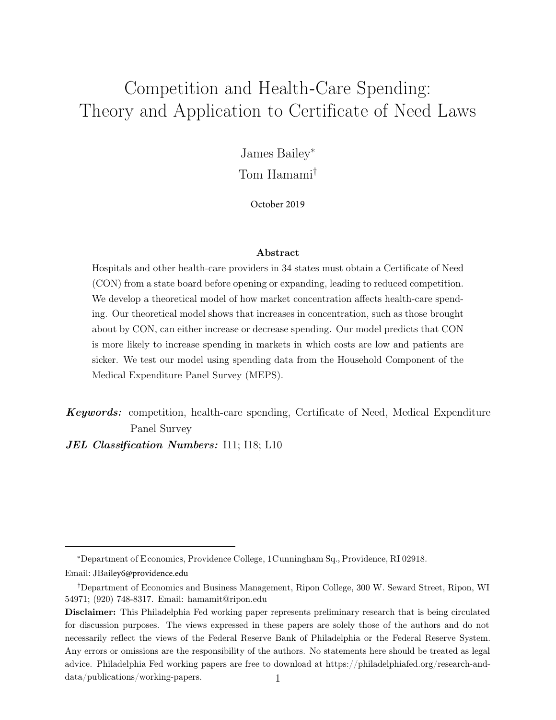# <span id="page-1-0"></span>Competition and Health-Care Spending: Theory and Application to Certificate of Need Laws

James Bailey<sup>∗</sup>

Tom Hamami†

October 2019

#### Abstract

Hospitals and other health-care providers in 34 states must obtain a Certificate of Need (CON) from a state board before opening or expanding, leading to reduced competition. We develop a theoretical model of how market concentration affects health-care spending. Our theoretical model shows that increases in concentration, such as those brought about by CON, can either increase or decrease spending. Our model predicts that CON is more likely to increase spending in markets in which costs are low and patients are sicker. We test our model using spending data from the Household Component of the Medical Expenditure Panel Survey (MEPS).

Keywords: competition, health-care spending, Certificate of Need, Medical Expenditure Panel Survey

JEL Class*if*ication Numbers: I11; I18; L10

<sup>∗</sup>Department of E conomics, Providence C ollege, 1C unningham Sq., Providence, RI 02918.

Email: JBailey6@providence.edu

<sup>†</sup>Department of Economics and Business Management, Ripon College, 300 W. Seward Street, Ripon, WI 54971; (920) 748-8317. Email: hamamit@ripon.edu

Disclaimer: This Philadelphia Fed working paper represents preliminary research that is being circulated for discussion purposes. The views expressed in these papers are solely those of the authors and do not necessarily reflect the views of the Federal Reserve Bank of Philadelphia or the Federal Reserve System. Any errors or omissions are the responsibility of the authors. No statements here should be treated as legal advice. Philadelphia Fed working papers are free to download at https://philadelphiafed.org/research-anddata/publications/working-papers. 1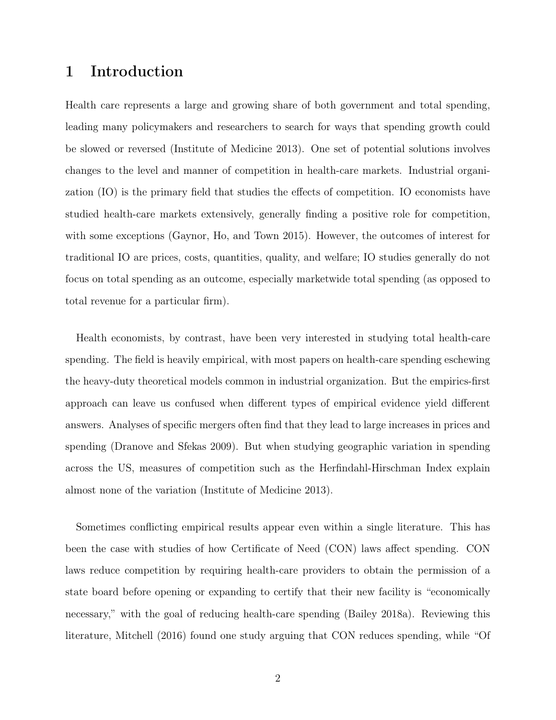# 1 Introduction

Health care represents a large and growing share of both government and total spending, leading many policymakers and researchers to search for ways that spending growth could be slowed or reversed (Institute of Medicine 2013). One set of potential solutions involves changes to the level and manner of competition in health-care markets. Industrial organization (IO) is the primary field that studies the effects of competition. IO economists have studied health-care markets extensively, generally finding a positive role for competition, with some exceptions (Gaynor, Ho, and Town 2015). However, the outcomes of interest for traditional IO are prices, costs, quantities, quality, and welfare; IO studies generally do not focus on total spending as an outcome, especially marketwide total spending (as opposed to total revenue for a particular firm).

Health economists, by contrast, have been very interested in studying total health-care spending. The field is heavily empirical, with most papers on health-care spending eschewing the heavy-duty theoretical models common in industrial organization. But the empirics-first approach can leave us confused when different types of empirical evidence yield different answers. Analyses of specific mergers often find that they lead to large increases in prices and spending (Dranove and Sfekas 2009). But when studying geographic variation in spending across the US, measures of competition such as the Herfindahl-Hirschman Index explain almost none of the variation (Institute of Medicine 2013).

Sometimes conflicting empirical results appear even within a single literature. This has been the case with studies of how Certificate of Need (CON) laws affect spending. CON laws reduce competition by requiring health-care providers to obtain the permission of a state board before opening or expanding to certify that their new facility is "economically necessary," with the goal of reducing health-care spending (Bailey 2018a). Reviewing this literature, Mitchell (2016) found one study arguing that CON reduces spending, while "Of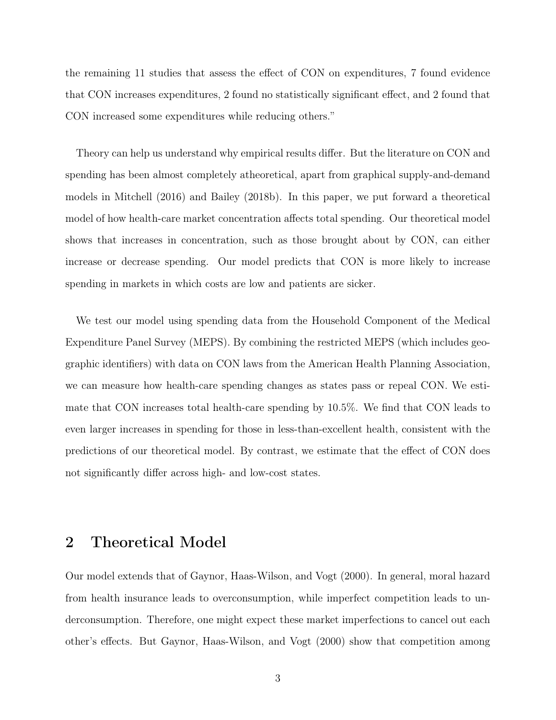the remaining 11 studies that assess the effect of CON on expenditures, 7 found evidence that CON increases expenditures, 2 found no statistically significant effect, and 2 found that CON increased some expenditures while reducing others."

Theory can help us understand why empirical results differ. But the literature on CON and spending has been almost completely atheoretical, apart from graphical supply-and-demand models in Mitchell (2016) and Bailey (2018b). In this paper, we put forward a theoretical model of how health-care market concentration affects total spending. Our theoretical model shows that increases in concentration, such as those brought about by CON, can either increase or decrease spending. Our model predicts that CON is more likely to increase spending in markets in which costs are low and patients are sicker.

We test our model using spending data from the Household Component of the Medical Expenditure Panel Survey (MEPS). By combining the restricted MEPS (which includes geographic identifiers) with data on CON laws from the American Health Planning Association, we can measure how health-care spending changes as states pass or repeal CON. We estimate that CON increases total health-care spending by 10.5%. We find that CON leads to even larger increases in spending for those in less-than-excellent health, consistent with the predictions of our theoretical model. By contrast, we estimate that the effect of CON does not significantly differ across high- and low-cost states.

# 2 Theoretical Model

Our model extends that of Gaynor, Haas-Wilson, and Vogt (2000). In general, moral hazard from health insurance leads to overconsumption, while imperfect competition leads to underconsumption. Therefore, one might expect these market imperfections to cancel out each other's effects. But Gaynor, Haas-Wilson, and Vogt (2000) show that competition among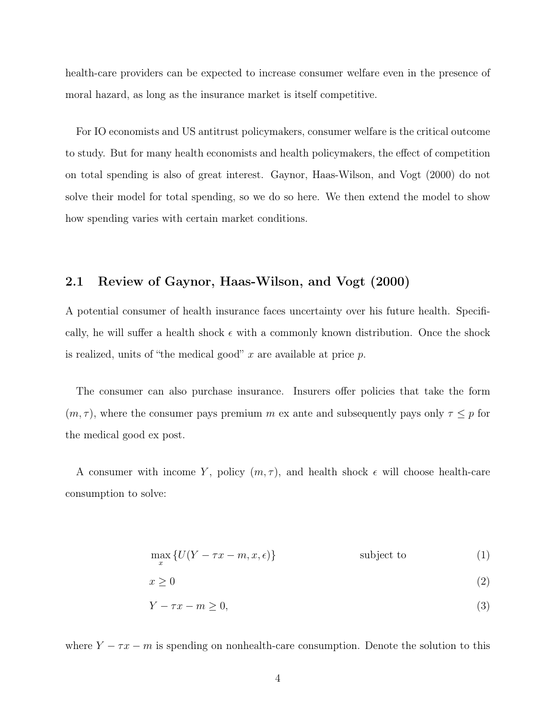health-care providers can be expected to increase consumer welfare even in the presence of moral hazard, as long as the insurance market is itself competitive.

For IO economists and US antitrust policymakers, consumer welfare is the critical outcome to study. But for many health economists and health policymakers, the effect of competition on total spending is also of great interest. Gaynor, Haas-Wilson, and Vogt (2000) do not solve their model for total spending, so we do so here. We then extend the model to show how spending varies with certain market conditions.

#### 2.1 Review of Gaynor, Haas-Wilson, and Vogt (2000)

A potential consumer of health insurance faces uncertainty over his future health. Specifically, he will suffer a health shock  $\epsilon$  with a commonly known distribution. Once the shock is realized, units of "the medical good"  $x$  are available at price  $p$ .

The consumer can also purchase insurance. Insurers offer policies that take the form  $(m, \tau)$ , where the consumer pays premium m ex ante and subsequently pays only  $\tau \leq p$  for the medical good ex post.

A consumer with income Y, policy  $(m, \tau)$ , and health shock  $\epsilon$  will choose health-care consumption to solve:

$$
\max_{x} \{ U(Y - \tau x - m, x, \epsilon) \}
$$
subject to (1)

$$
x \ge 0 \tag{2}
$$

$$
Y - \tau x - m \ge 0,\tag{3}
$$

where  $Y - \tau x - m$  is spending on nonhealth-care consumption. Denote the solution to this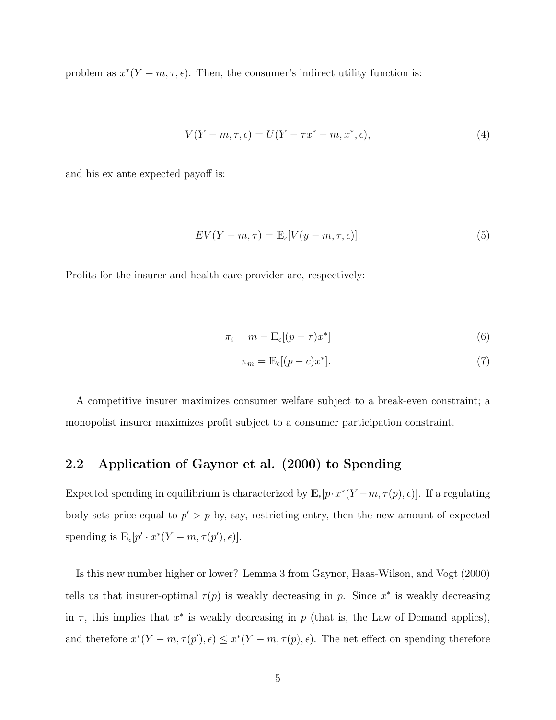problem as  $x^*(Y - m, \tau, \epsilon)$ . Then, the consumer's indirect utility function is:

$$
V(Y - m, \tau, \epsilon) = U(Y - \tau x^* - m, x^*, \epsilon),\tag{4}
$$

and his ex ante expected payoff is:

$$
EV(Y - m, \tau) = \mathbb{E}_{\epsilon}[V(y - m, \tau, \epsilon)].
$$
\n(5)

Profits for the insurer and health-care provider are, respectively:

$$
\pi_i = m - \mathbb{E}_{\epsilon}[(p - \tau)x^*]
$$
\n(6)

$$
\pi_m = \mathbb{E}_{\epsilon}[(p-c)x^*].\tag{7}
$$

A competitive insurer maximizes consumer welfare subject to a break-even constraint; a monopolist insurer maximizes profit subject to a consumer participation constraint.

#### 2.2 Application of Gaynor et al. (2000) to Spending

Expected spending in equilibrium is characterized by  $\mathbb{E}_{\epsilon}[p \cdot x^*(Y-m, \tau(p), \epsilon)]$ . If a regulating body sets price equal to  $p' > p$  by, say, restricting entry, then the new amount of expected spending is  $\mathbb{E}_{\epsilon}[p' \cdot x^*(Y-m, \tau(p'), \epsilon)].$ 

Is this new number higher or lower? Lemma 3 from Gaynor, Haas-Wilson, and Vogt (2000) tells us that insurer-optimal  $\tau(p)$  is weakly decreasing in p. Since  $x^*$  is weakly decreasing in  $\tau$ , this implies that  $x^*$  is weakly decreasing in p (that is, the Law of Demand applies), and therefore  $x^*(Y - m, \tau(p'), \epsilon) \leq x^*(Y - m, \tau(p), \epsilon)$ . The net effect on spending therefore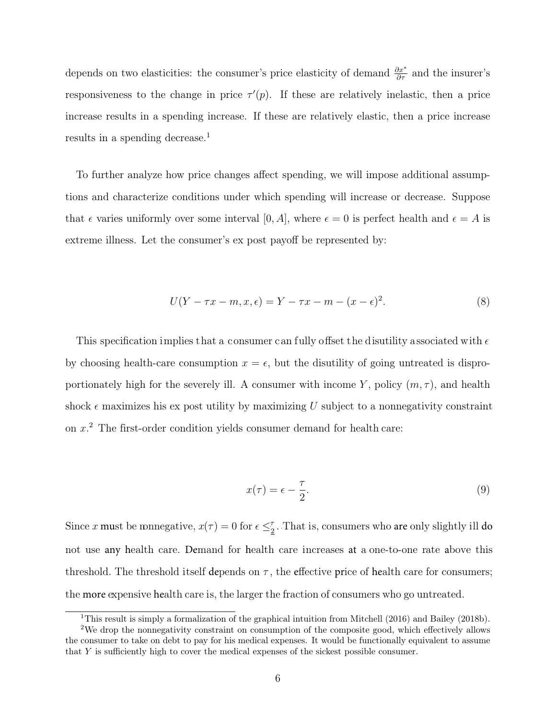depends on two elasticities: the consumer's price elasticity of demand  $\frac{\partial x^*}{\partial \tau}$  and the insurer's responsiveness to the change in price  $\tau'(p)$ . If these are relatively inelastic, then a price increase results in a spending increase. If these are relatively elastic, then a price increase results in a spending decrease.<sup>[1](#page-1-0)</sup>

To further analyze how price changes affect spending, we will impose additional assumptions and characterize conditions under which spending will increase or decrease. Suppose that  $\epsilon$  varies uniformly over some interval [0, A], where  $\epsilon = 0$  is perfect health and  $\epsilon = A$  is extreme illness. Let the consumer's ex post payoff be represented by:

$$
U(Y - \tau x - m, x, \epsilon) = Y - \tau x - m - (x - \epsilon)^2.
$$
\n
$$
(8)
$$

This specification implies that a consumer can fully offset the disutility associated with  $\epsilon$ by choosing health-care consumption  $x = \epsilon$ , but the disutility of going untreated is disproportionately high for the severely ill. A consumer with income Y, policy  $(m, \tau)$ , and health shock  $\epsilon$  maximizes his ex post utility by maximizing U subject to a nonnegativity constraint on  $x^2$  $x^2$ . The first-order condition yields consumer demand for health care:

$$
x(\tau) = \epsilon - \frac{\tau}{2}.\tag{9}
$$

Since x must be monegative,  $x(\tau) = 0$  for  $\epsilon \leq \frac{\tau}{2}$  $\frac{\tau}{2}$ . That is, consumers who are only slightly ill do not use any health care. Demand for health care increases at a one-to-one rate above this threshold. The threshold itself depends on  $\tau$ , the effective price of health care for consumers; the more expensive health care is, the larger the fraction of consumers who go untreated.

<sup>&</sup>lt;sup>1</sup>This result is simply a formalization of the graphical intuition from Mitchell (2016) and Bailey (2018b).

<sup>2</sup>We drop the nonnegativity constraint on consumption of the composite good, which effectively allows the consumer to take on debt to pay for his medical expenses. It would be functionally equivalent to assume that Y is sufficiently high to cover the medical expenses of the sickest possible consumer.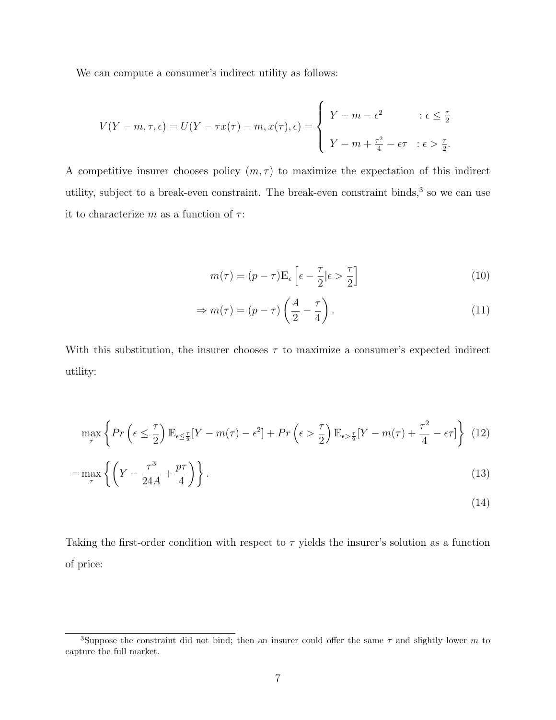We can compute a consumer's indirect utility as follows:

$$
V(Y - m, \tau, \epsilon) = U(Y - \tau x(\tau) - m, x(\tau), \epsilon) = \begin{cases} Y - m - \epsilon^2 & \text{if } \epsilon \leq \frac{\tau}{2} \\ Y - m + \frac{\tau^2}{4} - \epsilon \tau & \text{if } \epsilon > \frac{\tau}{2}. \end{cases}
$$

A competitive insurer chooses policy  $(m, \tau)$  to maximize the expectation of this indirect utility, subject to a break-even constraint. The break-even constraint binds,<sup>[3](#page-1-0)</sup> so we can use it to characterize m as a function of  $\tau$ :

$$
m(\tau) = (p - \tau) \mathbb{E}_{\epsilon} \left[ \epsilon - \frac{\tau}{2} | \epsilon > \frac{\tau}{2} \right]
$$
 (10)

$$
\Rightarrow m(\tau) = (p - \tau) \left(\frac{A}{2} - \frac{\tau}{4}\right). \tag{11}
$$

With this substitution, the insurer chooses  $\tau$  to maximize a consumer's expected indirect utility:

$$
\max_{\tau} \left\{ Pr\left(\epsilon \leq \frac{\tau}{2}\right) \mathbb{E}_{\epsilon \leq \frac{\tau}{2}} [Y - m(\tau) - \epsilon^2] + Pr\left(\epsilon > \frac{\tau}{2}\right) \mathbb{E}_{\epsilon > \frac{\tau}{2}} [Y - m(\tau) + \frac{\tau^2}{4} - \epsilon \tau] \right\} (12)
$$

$$
=\max_{\tau} \left\{ \left( Y - \frac{\tau^3}{24A} + \frac{p\tau}{4} \right) \right\}.
$$
\n(13)

$$
(14)
$$

Taking the first-order condition with respect to  $\tau$  yields the insurer's solution as a function of price:

<sup>&</sup>lt;sup>3</sup>Suppose the constraint did not bind; then an insurer could offer the same  $\tau$  and slightly lower m to capture the full market.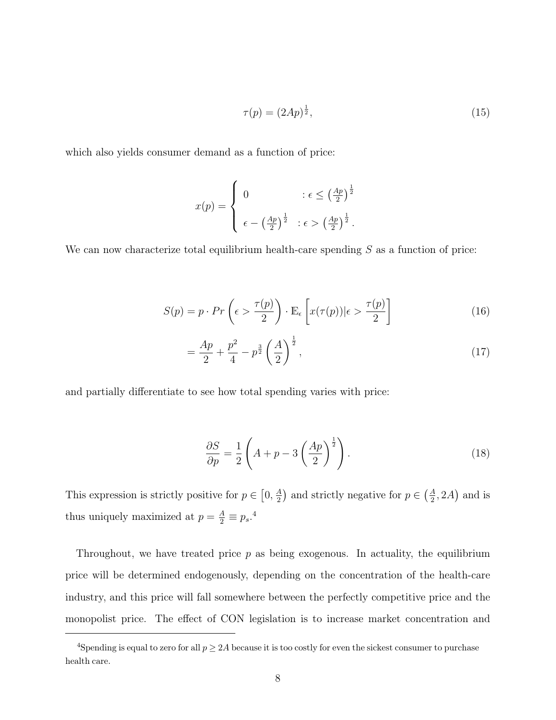$$
\tau(p) = (2Ap)^{\frac{1}{2}},\tag{15}
$$

which also yields consumer demand as a function of price:

$$
x(p) = \begin{cases} 0 & : \epsilon \le \left(\frac{Ap}{2}\right)^{\frac{1}{2}} \\ \epsilon - \left(\frac{Ap}{2}\right)^{\frac{1}{2}} & : \epsilon > \left(\frac{Ap}{2}\right)^{\frac{1}{2}}. \end{cases}
$$

We can now characterize total equilibrium health-care spending  $S$  as a function of price:

$$
S(p) = p \cdot Pr\left(\epsilon > \frac{\tau(p)}{2}\right) \cdot \mathbb{E}_{\epsilon}\left[x(\tau(p))|\epsilon > \frac{\tau(p)}{2}\right] \tag{16}
$$

$$
=\frac{Ap}{2} + \frac{p^2}{4} - p^{\frac{3}{2}} \left(\frac{A}{2}\right)^{\frac{1}{2}},\tag{17}
$$

and partially differentiate to see how total spending varies with price:

$$
\frac{\partial S}{\partial p} = \frac{1}{2} \left( A + p - 3 \left( \frac{Ap}{2} \right)^{\frac{1}{2}} \right). \tag{18}
$$

This expression is strictly positive for  $p \in \left[0, \frac{A}{2}\right]$  $\left(\frac{A}{2}\right)$  and strictly negative for  $p \in \left(\frac{A}{2}\right)$  $\frac{A}{2}$ , 2A) and is thus uniquely maximized at  $p = \frac{A}{2} \equiv p_s$ .<sup>[4](#page-1-0)</sup>

Throughout, we have treated price  $p$  as being exogenous. In actuality, the equilibrium price will be determined endogenously, depending on the concentration of the health-care industry, and this price will fall somewhere between the perfectly competitive price and the monopolist price. The effect of CON legislation is to increase market concentration and

<sup>&</sup>lt;sup>4</sup>Spending is equal to zero for all  $p \geq 2A$  because it is too costly for even the sickest consumer to purchase health care.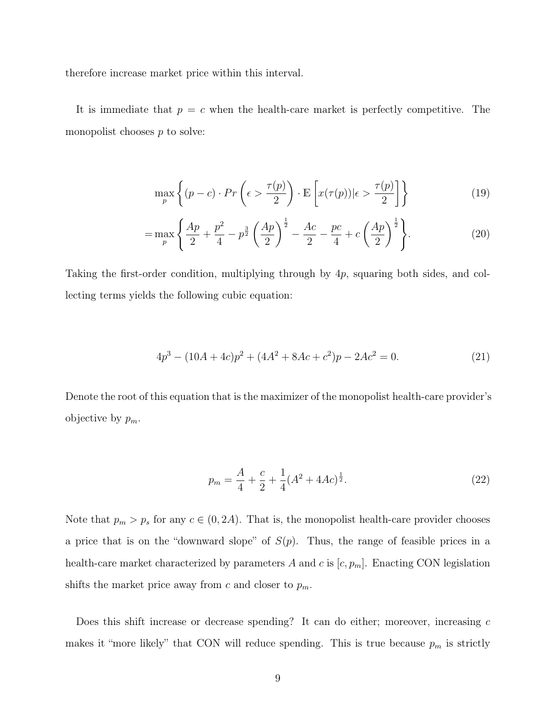therefore increase market price within this interval.

It is immediate that  $p = c$  when the health-care market is perfectly competitive. The monopolist chooses  $p$  to solve:

$$
\max_{p} \left\{ (p-c) \cdot Pr\left(\epsilon > \frac{\tau(p)}{2}\right) \cdot \mathbb{E}\left[x(\tau(p))|\epsilon > \frac{\tau(p)}{2}\right] \right\} \tag{19}
$$

$$
= \max_{p} \left\{ \frac{Ap}{2} + \frac{p^2}{4} - p^{\frac{3}{2}} \left( \frac{Ap}{2} \right)^{\frac{1}{2}} - \frac{Ac}{2} - \frac{pc}{4} + c \left( \frac{Ap}{2} \right)^{\frac{1}{2}} \right\}.
$$
 (20)

Taking the first-order condition, multiplying through by 4p, squaring both sides, and collecting terms yields the following cubic equation:

$$
4p3 - (10A + 4c)p2 + (4A2 + 8Ac + c2)p - 2Ac2 = 0.
$$
 (21)

Denote the root of this equation that is the maximizer of the monopolist health-care provider's objective by  $p_m$ .

$$
p_m = \frac{A}{4} + \frac{c}{2} + \frac{1}{4}(A^2 + 4Ac)^{\frac{1}{2}}.
$$
\n(22)

Note that  $p_m > p_s$  for any  $c \in (0, 2A)$ . That is, the monopolist health-care provider chooses a price that is on the "downward slope" of  $S(p)$ . Thus, the range of feasible prices in a health-care market characterized by parameters A and c is  $[c, p_m]$ . Enacting CON legislation shifts the market price away from c and closer to  $p_m$ .

Does this shift increase or decrease spending? It can do either; moreover, increasing c makes it "more likely" that CON will reduce spending. This is true because  $p_m$  is strictly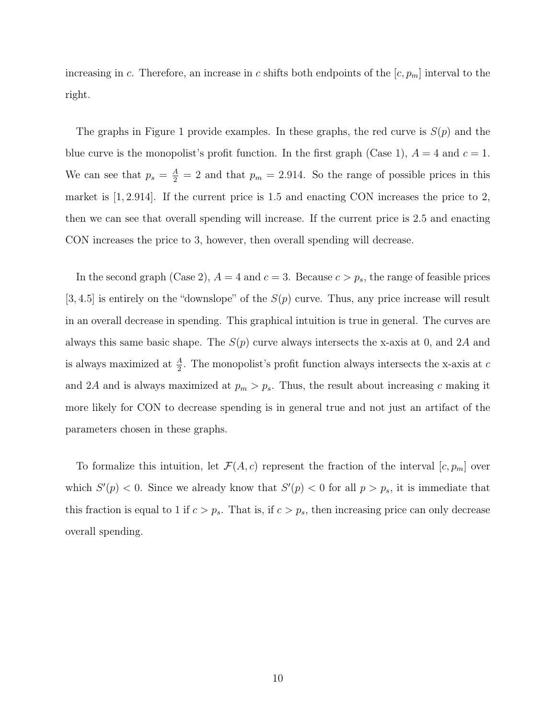increasing in c. Therefore, an increase in c shifts both endpoints of the  $[c, p_m]$  interval to the right.

The graphs in Figure 1 provide examples. In these graphs, the red curve is  $S(p)$  and the blue curve is the monopolist's profit function. In the first graph (Case 1),  $A = 4$  and  $c = 1$ . We can see that  $p_s = \frac{A}{2} = 2$  and that  $p_m = 2.914$ . So the range of possible prices in this market is [1, 2.914]. If the current price is 1.5 and enacting CON increases the price to 2, then we can see that overall spending will increase. If the current price is 2.5 and enacting CON increases the price to 3, however, then overall spending will decrease.

In the second graph (Case 2),  $A = 4$  and  $c = 3$ . Because  $c > p_s$ , the range of feasible prices [3, 4.5] is entirely on the "downslope" of the  $S(p)$  curve. Thus, any price increase will result in an overall decrease in spending. This graphical intuition is true in general. The curves are always this same basic shape. The  $S(p)$  curve always intersects the x-axis at 0, and 2A and is always maximized at  $\frac{A}{2}$ . The monopolist's profit function always intersects the x-axis at c and 2A and is always maximized at  $p_m > p_s$ . Thus, the result about increasing c making it more likely for CON to decrease spending is in general true and not just an artifact of the parameters chosen in these graphs.

To formalize this intuition, let  $\mathcal{F}(A, c)$  represent the fraction of the interval  $[c, p_m]$  over which  $S'(p) < 0$ . Since we already know that  $S'(p) < 0$  for all  $p > p_s$ , it is immediate that this fraction is equal to 1 if  $c > p_s$ . That is, if  $c > p_s$ , then increasing price can only decrease overall spending.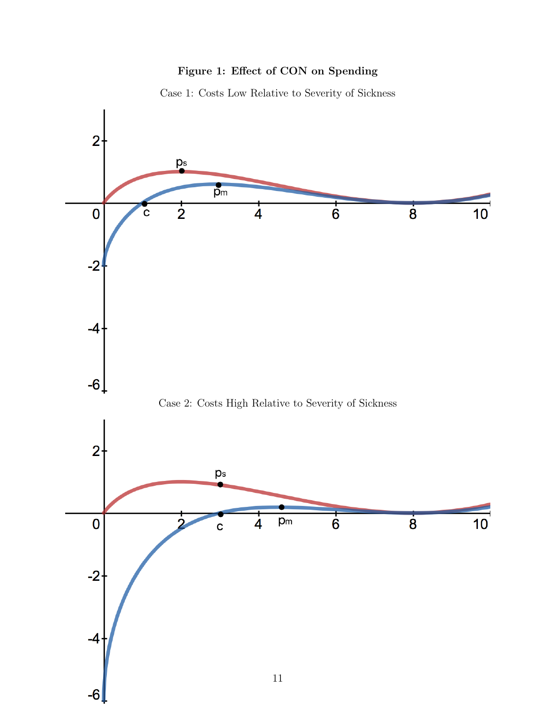#### Figure 1: Effect of CON on Spending



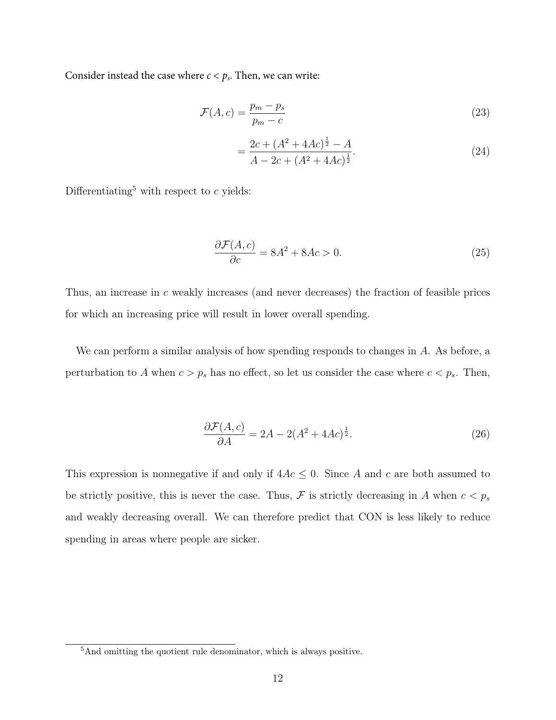Consider instead the case where  $c < p_s$ . Then, we can write:

$$
\mathcal{F}(A,c) = \frac{p_m - p_s}{p_m - c} \tag{23}
$$

$$
=\frac{2c + (A^2 + 4Ac)^{\frac{1}{2}} - A}{A - 2c + (A^2 + 4Ac)^{\frac{1}{2}}}.
$$
\n(24)

Differentiating<sup>[5](#page-1-0)</sup> with respect to  $c$  yields:

$$
\frac{\partial \mathcal{F}(A,c)}{\partial c} = 8A^2 + 8Ac > 0.
$$
 (25)

Thus, an increase in c weakly increases (and never decreases) the fraction of feasible prices for which an increasing price will result in lower overall spending.

We can perform a similar analysis of how spending responds to changes in A. As before, a perturbation to A when  $c > p_s$  has no effect, so let us consider the case where  $c < p_s$ . Then,

$$
\frac{\partial \mathcal{F}(A,c)}{\partial A} = 2A - 2(A^2 + 4Ac)^{\frac{1}{2}}.
$$
\n(26)

This expression is nonnegative if and only if  $4Ac \leq 0$ . Since A and c are both assumed to be strictly positive, this is never the case. Thus,  $\mathcal F$  is strictly decreasing in A when  $c < p_s$ and weakly decreasing overall. We can therefore predict that CON is less likely to reduce spending in areas where people are sicker.

<sup>5</sup>And omitting the quotient rule denominator, which is always positive.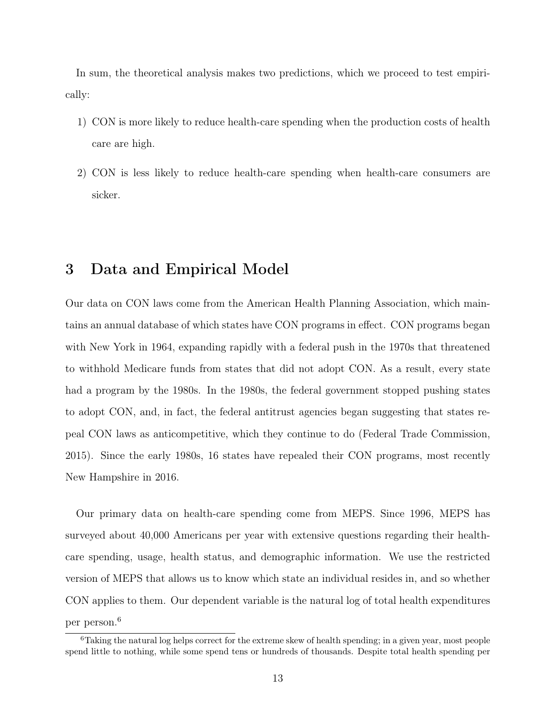In sum, the theoretical analysis makes two predictions, which we proceed to test empirically:

- 1) CON is more likely to reduce health-care spending when the production costs of health care are high.
- 2) CON is less likely to reduce health-care spending when health-care consumers are sicker.

### 3 Data and Empirical Model

Our data on CON laws come from the American Health Planning Association, which maintains an annual database of which states have CON programs in effect. CON programs began with New York in 1964, expanding rapidly with a federal push in the 1970s that threatened to withhold Medicare funds from states that did not adopt CON. As a result, every state had a program by the 1980s. In the 1980s, the federal government stopped pushing states to adopt CON, and, in fact, the federal antitrust agencies began suggesting that states repeal CON laws as anticompetitive, which they continue to do (Federal Trade Commission, 2015). Since the early 1980s, 16 states have repealed their CON programs, most recently New Hampshire in 2016.

Our primary data on health-care spending come from MEPS. Since 1996, MEPS has surveyed about 40,000 Americans per year with extensive questions regarding their healthcare spending, usage, health status, and demographic information. We use the restricted version of MEPS that allows us to know which state an individual resides in, and so whether CON applies to them. Our dependent variable is the natural log of total health expenditures per person.[6](#page-1-0)

<sup>&</sup>lt;sup>6</sup>Taking the natural log helps correct for the extreme skew of health spending; in a given year, most people spend little to nothing, while some spend tens or hundreds of thousands. Despite total health spending per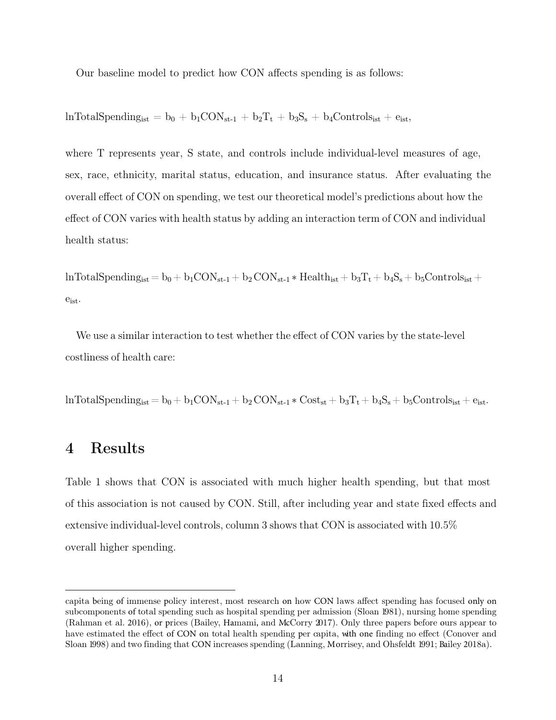Our baseline model to predict how CON affects spending is as follows:

 $lnTotalSpending_{ist} = b_0 + b_1CON_{st-1} + b_2T_t + b_3S_s + b_4Contents_{ist} + e_{ist}$ 

where T represents year, S state, and controls include individual-level measures of age, sex, race, ethnicity, marital status, education, and insurance status. After evaluating the overall effect of CON on spending, we test our theoretical model's predictions about how the effect of CON varies with health status by adding an interaction term of CON and individual health status:

 $lnTotalSpending_{ist}= b_0+ b_1CON_{st-1}+ b_2 CON_{st-1} * Health_{ist}+ b_3T_t+ b_4S_s+b_5Controls_{ist}+$ eist.

We use a similar interaction to test whether the effect of CON varies by the state-level costliness of health care:

 $lnTotalSpending_{ist}= b_0+b_1CON_{st-1}+b_2 CON_{st-1} * Cost_{st}+b_3T_t+b_4S_s+b_5Controls_{ist}+e_{ist}.$ 

# 4 Results

Table 1 shows that CON is associated with much higher health spending, but that most of this association is not caused by CON. Still, after including year and state fixed effects and extensive individual-level controls, column 3 shows that CON is associated with 10.5% overall higher spending.

capita being of immense policy interest, most research on how CON laws affect spending has focused only on subcomponents of total spending such as hospital spending per admission (Sloan 1981), nursing home spending (Rahman et al. 2016), or prices (Bailey, Hamami, and McCorry 2017). Only three papers before ours appear to have estimated the effect of CON on total health spending per capita, with one finding no effect (Conover and Sloan 1998) and two finding that CON increases spending (Lanning, Morrisey, and Ohsfeldt 1991; Bailey 2018a).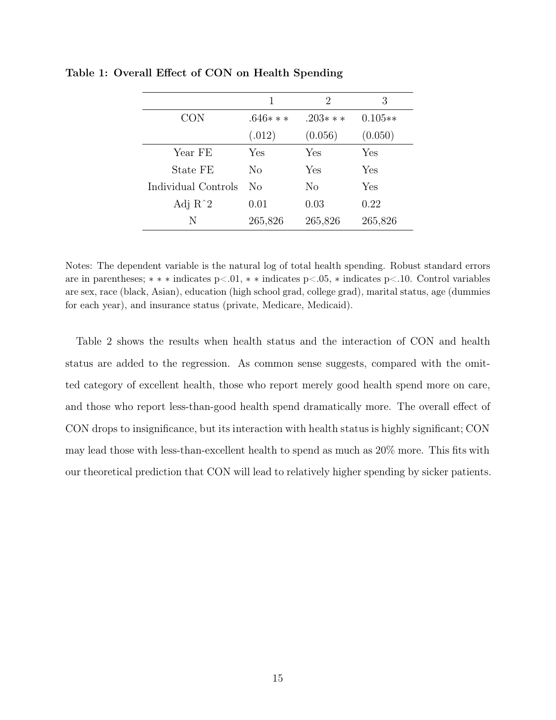|                     | 1         | 2         | 3         |
|---------------------|-----------|-----------|-----------|
| <b>CON</b>          | $.646***$ | $.203***$ | $0.105**$ |
|                     | (.012)    | (0.056)   | (0.050)   |
| Year FE             | Yes       | Yes       | Yes       |
| State FE            | No        | Yes       | Yes       |
| Individual Controls | No        | No        | Yes       |
| Adj $R^2$           | 0.01      | 0.03      | 0.22      |
| N                   | 265,826   | 265,826   | 265,826   |

Table 1: Overall Effect of CON on Health Spending

Notes: The dependent variable is the natural log of total health spending. Robust standard errors are in parentheses; ∗ ∗ ∗ indicates p<.01, ∗ ∗ indicates p<.05, ∗ indicates p<.10. Control variables are sex, race (black, Asian), education (high school grad, college grad), marital status, age (dummies for each year), and insurance status (private, Medicare, Medicaid).

Table 2 shows the results when health status and the interaction of CON and health status are added to the regression. As common sense suggests, compared with the omitted category of excellent health, those who report merely good health spend more on care, and those who report less-than-good health spend dramatically more. The overall effect of CON drops to insignificance, but its interaction with health status is highly significant; CON may lead those with less-than-excellent health to spend as much as 20% more. This fits with our theoretical prediction that CON will lead to relatively higher spending by sicker patients.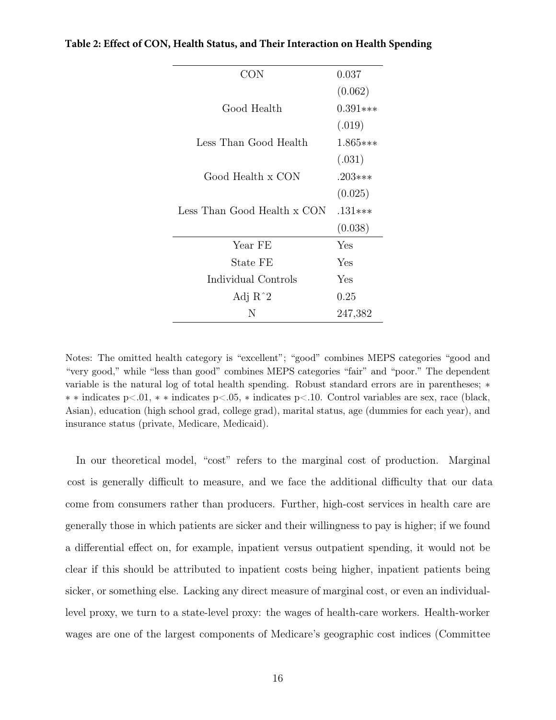| CON                         | 0.037      |
|-----------------------------|------------|
|                             | (0.062)    |
| Good Health                 | $0.391***$ |
|                             | (.019)     |
| Less Than Good Health       | $1.865***$ |
|                             | (.031)     |
| Good Health x CON           | $.203***$  |
|                             | (0.025)    |
| Less Than Good Health x CON | $.131***$  |
|                             | (0.038)    |
| Year FE                     | Yes        |
| State FE                    | Yes        |
| Individual Controls         | Yes        |
| Adj $R^2$                   | 0.25       |
| N                           | 247,382    |

**Table 2: Effect of CON, Health Status, and Their Interaction on Health Spending**

Notes: The omitted health category is "excellent"; "good" combines MEPS categories "good and "very good," while "less than good" combines MEPS categories "fair" and "poor." The dependent variable is the natural log of total health spending. Robust standard errors are in parentheses; ∗ ∗ ∗ indicates p<.01, ∗ ∗ indicates p<.05, ∗ indicates p<.10. Control variables are sex, race (black, Asian), education (high school grad, college grad), marital status, age (dummies for each year), and insurance status (private, Medicare, Medicaid).

In our theoretical model, "cost" refers to the marginal cost of production. Marginal cost is generally difficult to measure, and we face the additional difficulty that our data come from consumers rather than producers. Further, high-cost services in health care are generally those in which patients are sicker and their willingness to pay is higher; if we found a differential effect on, for example, inpatient versus outpatient spending, it would not be clear if this should be attributed to inpatient costs being higher, inpatient patients being sicker, or something else. Lacking any direct measure of marginal cost, or even an individuallevel proxy, we turn to a state-level proxy: the wages of health-care workers. Health-worker wages are one of the largest components of Medicare's geographic cost indices (Committee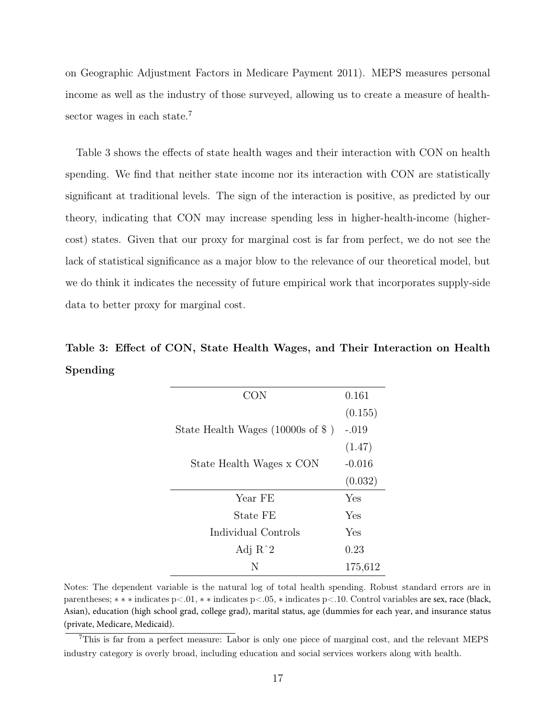on Geographic Adjustment Factors in Medicare Payment 2011). MEPS measures personal income as well as the industry of those surveyed, allowing us to create a measure of health-sector wages in each state.<sup>[7](#page-1-0)</sup>

Table 3 shows the effects of state health wages and their interaction with CON on health spending. We find that neither state income nor its interaction with CON are statistically significant at traditional levels. The sign of the interaction is positive, as predicted by our theory, indicating that CON may increase spending less in higher-health-income (highercost) states. Given that our proxy for marginal cost is far from perfect, we do not see the lack of statistical significance as a major blow to the relevance of our theoretical model, but we do think it indicates the necessity of future empirical work that incorporates supply-side data to better proxy for marginal cost.

# Table 3: Effect of CON, State Health Wages, and Their Interaction on Health Spending

| CON                                    | 0.161    |
|----------------------------------------|----------|
|                                        | (0.155)  |
| State Health Wages (10000s of $\$\)$ ) | $-.019$  |
|                                        | (1.47)   |
| State Health Wages x CON               | $-0.016$ |
|                                        | (0.032)  |
| Year FE                                | Yes      |
| State FE                               | Yes      |
| Individual Controls                    | Yes      |
| Adj $R^2$                              | 0.23     |
| N                                      | 175,612  |

Notes: The dependent variable is the natural log of total health spending. Robust standard errors are in parentheses; ∗ ∗ ∗ indicates p<.01, ∗ ∗ indicates p<.05, ∗ indicates p<.10. Control variables are sex, race (black, Asian), education (high school grad, college grad), marital status, age (dummies for each year, and insurance status (private, Medicare, Medicaid).

<sup>7</sup>This is far from a perfect measure: Labor is only one piece of marginal cost, and the relevant MEPS industry category is overly broad, including education and social services workers along with health.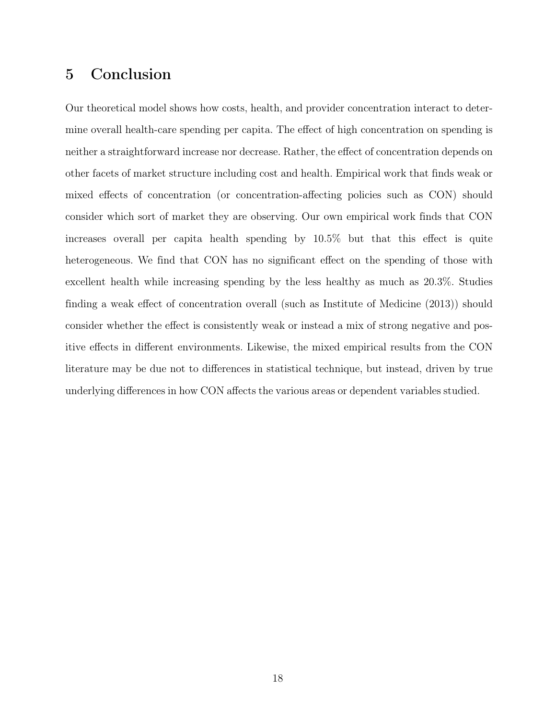# 5 Conclusion

Our theoretical model shows how costs, health, and provider concentration interact to determine overall health-care spending per capita. The effect of high concentration on spending is neither a straightforward increase nor decrease. Rather, the effect of concentration depends on other facets of market structure including cost and health. Empirical work that finds weak or mixed effects of concentration (or concentration-affecting policies such as CON) should consider which sort of market they are observing. Our own empirical work finds that CON increases overall per capita health spending by 10.5% but that this effect is quite heterogeneous. We find that CON has no significant effect on the spending of those with excellent health while increasing spending by the less healthy as much as 20.3%. Studies finding a weak effect of concentration overall (such as Institute of Medicine (2013)) should consider whether the effect is consistently weak or instead a mix of strong negative and positive effects in different environments. Likewise, the mixed empirical results from the CON literature may be due not to differences in statistical technique, but instead, driven by true underlying differences in how CON affects the various areas or dependent variables studied.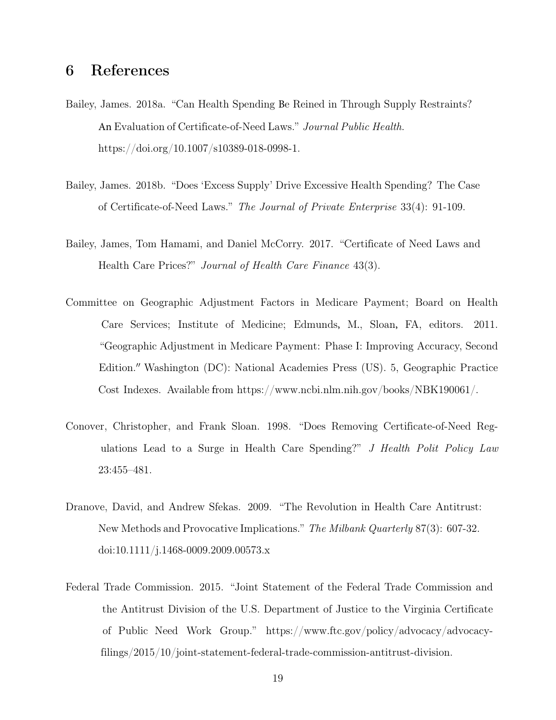## 6 References

- Bailey, James. 2018a. "Can Health Spending Be Reined in Through Supply Restraints? An Evaluation of Certificate-of-Need Laws." Journal Public Health. [https://doi.org/10.1007/s103](https://doi.org/10.1007/s10389-018-0998-1)89-018-0998-1.
- Bailey, James. 2018b. "Does 'Excess Supply' Drive Excessive Health Spending? The Case of Certificate-of-Need Laws." The Journal of Private Enterprise 33(4): 91-109.
- Bailey, James, Tom Hamami, and Daniel McCorry. 2017. "Certificate of Need Laws and Health Care Prices?" Journal of Health Care Finance 43(3).
- Committee on Geographic Adjustment Factors in Medicare Payment; Board on Health Care Services; Institute of Medicine; Edmunds, M., Sloan, FA, editors. 2011. "Geographic Adjustment in Medicare Payment: Phase I: Improving Accuracy, Second Edition." Washington (DC): National Academies Press (US). 5, Geographic Practice Cost Indexes. Available from https://www.ncbi.nlm.nih.gov/books/NBK190061/.
- Conover, Christopher, and Frank Sloan. 1998. "Does Removing Certificate-of-Need Regulations Lead to a Surge in Health Care Spending?" J Health Polit Policy Law 23:455–481.
- Dranove, David, and Andrew Sfekas. 2009. "The Revolution in Health Care Antitrust: New Methods and Provocative Implications." The Milbank Quarterly 87(3): 607-32. doi:10.1111/j.1468-0009.2009.00573.x
- Federal Trade Commission. 2015. "Joint Statement of the Federal Trade Commission and the Antitrust Division of the U.S. Department of Justice to the Virginia Certificate of Public Need Work Group." https://www.ftc.gov/policy/advocacy/advocacy[filings/2015/10/joint-statement-federal-trade-commission-antitrust-division.](https://www.ftc.gov/policy/advocacy/advocacy-filings/2015/10/joint-statement-federal-trade-commission-antitrust-division)